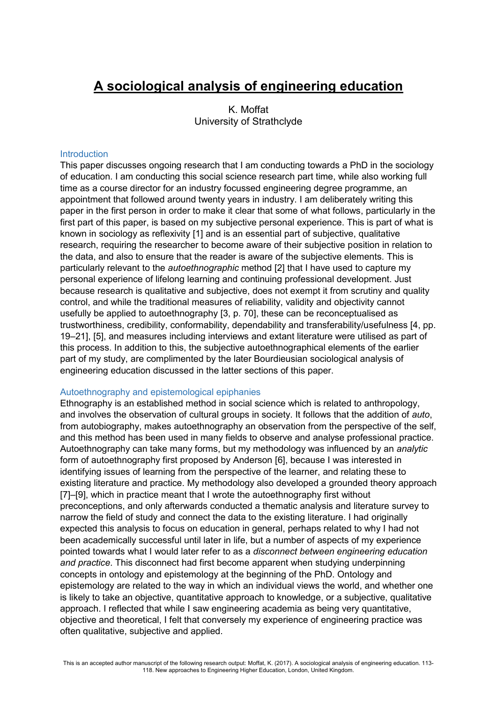# **A sociological analysis of engineering education**

K. Moffat University of Strathclyde

## **Introduction**

This paper discusses ongoing research that I am conducting towards a PhD in the sociology of education. I am conducting this social science research part time, while also working full time as a course director for an industry focussed engineering degree programme, an appointment that followed around twenty years in industry. I am deliberately writing this paper in the first person in order to make it clear that some of what follows, particularly in the first part of this paper, is based on my subjective personal experience. This is part of what is known in sociology as reflexivity [1] and is an essential part of subjective, qualitative research, requiring the researcher to become aware of their subjective position in relation to the data, and also to ensure that the reader is aware of the subjective elements. This is particularly relevant to the *autoethnographic* method [2] that I have used to capture my personal experience of lifelong learning and continuing professional development. Just because research is qualitative and subjective, does not exempt it from scrutiny and quality control, and while the traditional measures of reliability, validity and objectivity cannot usefully be applied to autoethnography [3, p. 70], these can be reconceptualised as trustworthiness, credibility, conformability, dependability and transferability/usefulness [4, pp. 19–21], [5], and measures including interviews and extant literature were utilised as part of this process. In addition to this, the subjective autoethnographical elements of the earlier part of my study, are complimented by the later Bourdieusian sociological analysis of engineering education discussed in the latter sections of this paper.

## Autoethnography and epistemological epiphanies

Ethnography is an established method in social science which is related to anthropology, and involves the observation of cultural groups in society. It follows that the addition of *auto*, from autobiography, makes autoethnography an observation from the perspective of the self, and this method has been used in many fields to observe and analyse professional practice. Autoethnography can take many forms, but my methodology was influenced by an *analytic*  form of autoethnography first proposed by Anderson [6], because I was interested in identifying issues of learning from the perspective of the learner, and relating these to existing literature and practice. My methodology also developed a grounded theory approach [7]–[9], which in practice meant that I wrote the autoethnography first without preconceptions, and only afterwards conducted a thematic analysis and literature survey to narrow the field of study and connect the data to the existing literature. I had originally expected this analysis to focus on education in general, perhaps related to why I had not been academically successful until later in life, but a number of aspects of my experience pointed towards what I would later refer to as a *disconnect between engineering education and practice*. This disconnect had first become apparent when studying underpinning concepts in ontology and epistemology at the beginning of the PhD. Ontology and epistemology are related to the way in which an individual views the world, and whether one is likely to take an objective, quantitative approach to knowledge, or a subjective, qualitative approach. I reflected that while I saw engineering academia as being very quantitative, objective and theoretical, I felt that conversely my experience of engineering practice was often qualitative, subjective and applied.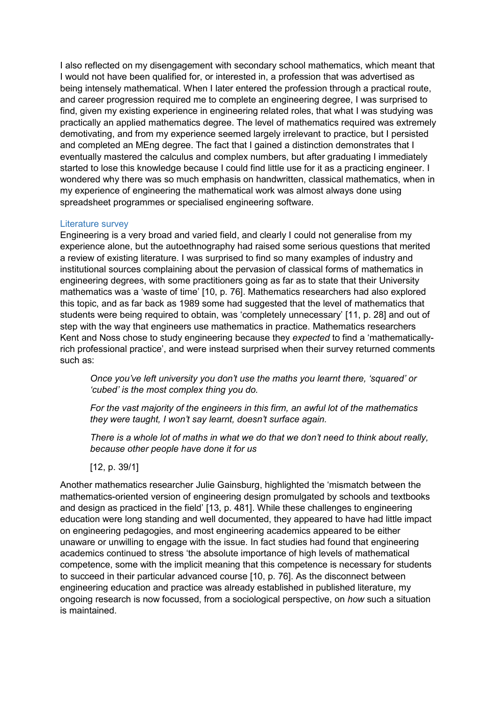I also reflected on my disengagement with secondary school mathematics, which meant that I would not have been qualified for, or interested in, a profession that was advertised as being intensely mathematical. When I later entered the profession through a practical route, and career progression required me to complete an engineering degree, I was surprised to find, given my existing experience in engineering related roles, that what I was studying was practically an applied mathematics degree. The level of mathematics required was extremely demotivating, and from my experience seemed largely irrelevant to practice, but I persisted and completed an MEng degree. The fact that I gained a distinction demonstrates that I eventually mastered the calculus and complex numbers, but after graduating I immediately started to lose this knowledge because I could find little use for it as a practicing engineer. I wondered why there was so much emphasis on handwritten, classical mathematics, when in my experience of engineering the mathematical work was almost always done using spreadsheet programmes or specialised engineering software.

### Literature survey

Engineering is a very broad and varied field, and clearly I could not generalise from my experience alone, but the autoethnography had raised some serious questions that merited a review of existing literature. I was surprised to find so many examples of industry and institutional sources complaining about the pervasion of classical forms of mathematics in engineering degrees, with some practitioners going as far as to state that their University mathematics was a 'waste of time' [10, p. 76]. Mathematics researchers had also explored this topic, and as far back as 1989 some had suggested that the level of mathematics that students were being required to obtain, was 'completely unnecessary' [11, p. 28] and out of step with the way that engineers use mathematics in practice. Mathematics researchers Kent and Noss chose to study engineering because they *expected* to find a 'mathematicallyrich professional practice', and were instead surprised when their survey returned comments such as:

*Once you've left university you don't use the maths you learnt there, 'squared' or 'cubed' is the most complex thing you do.*

*For the vast majority of the engineers in this firm, an awful lot of the mathematics they were taught, I won't say learnt, doesn't surface again.*

*There is a whole lot of maths in what we do that we don't need to think about really, because other people have done it for us*

[12, p. 39/1]

Another mathematics researcher Julie Gainsburg, highlighted the 'mismatch between the mathematics-oriented version of engineering design promulgated by schools and textbooks and design as practiced in the field' [13, p. 481]. While these challenges to engineering education were long standing and well documented, they appeared to have had little impact on engineering pedagogies, and most engineering academics appeared to be either unaware or unwilling to engage with the issue. In fact studies had found that engineering academics continued to stress 'the absolute importance of high levels of mathematical competence, some with the implicit meaning that this competence is necessary for students to succeed in their particular advanced course [10, p. 76]. As the disconnect between engineering education and practice was already established in published literature, my ongoing research is now focussed, from a sociological perspective, on *how* such a situation is maintained.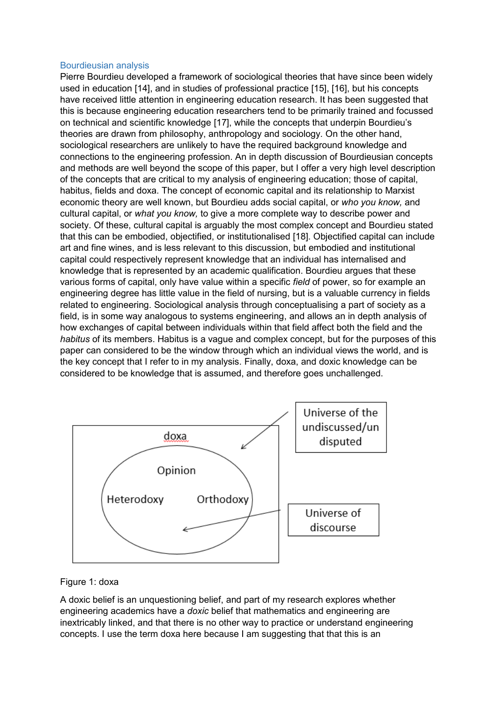#### Bourdieusian analysis

Pierre Bourdieu developed a framework of sociological theories that have since been widely used in education [14], and in studies of professional practice [15], [16], but his concepts have received little attention in engineering education research. It has been suggested that this is because engineering education researchers tend to be primarily trained and focussed on technical and scientific knowledge [17], while the concepts that underpin Bourdieu's theories are drawn from philosophy, anthropology and sociology. On the other hand, sociological researchers are unlikely to have the required background knowledge and connections to the engineering profession. An in depth discussion of Bourdieusian concepts and methods are well beyond the scope of this paper, but I offer a very high level description of the concepts that are critical to my analysis of engineering education; those of capital, habitus, fields and doxa. The concept of economic capital and its relationship to Marxist economic theory are well known, but Bourdieu adds social capital, or *who you know,* and cultural capital, or *what you know,* to give a more complete way to describe power and society. Of these, cultural capital is arguably the most complex concept and Bourdieu stated that this can be embodied, objectified, or institutionalised [18]. Objectified capital can include art and fine wines, and is less relevant to this discussion, but embodied and institutional capital could respectively represent knowledge that an individual has internalised and knowledge that is represented by an academic qualification. Bourdieu argues that these various forms of capital, only have value within a specific *field* of power, so for example an engineering degree has little value in the field of nursing, but is a valuable currency in fields related to engineering. Sociological analysis through conceptualising a part of society as a field, is in some way analogous to systems engineering, and allows an in depth analysis of how exchanges of capital between individuals within that field affect both the field and the *habitus* of its members. Habitus is a vague and complex concept, but for the purposes of this paper can considered to be the window through which an individual views the world, and is the key concept that I refer to in my analysis. Finally, doxa, and doxic knowledge can be considered to be knowledge that is assumed, and therefore goes unchallenged.



## Figure 1: doxa

A doxic belief is an unquestioning belief, and part of my research explores whether engineering academics have a *doxic* belief that mathematics and engineering are inextricably linked, and that there is no other way to practice or understand engineering concepts. I use the term doxa here because I am suggesting that that this is an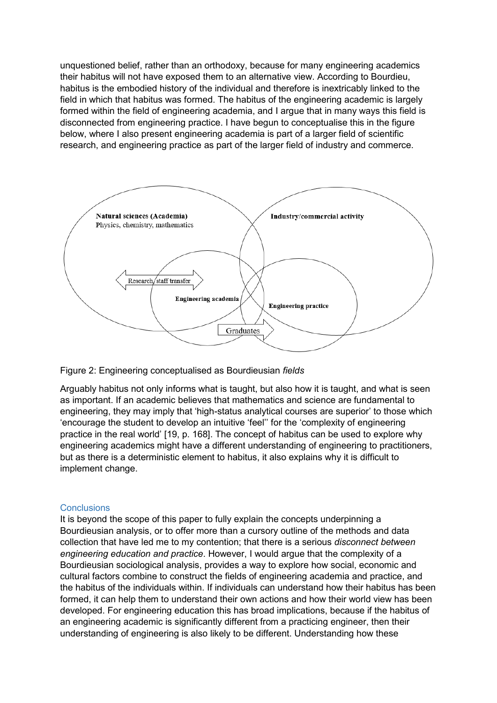unquestioned belief, rather than an orthodoxy, because for many engineering academics their habitus will not have exposed them to an alternative view. According to Bourdieu, habitus is the embodied history of the individual and therefore is inextricably linked to the field in which that habitus was formed. The habitus of the engineering academic is largely formed within the field of engineering academia, and I argue that in many ways this field is disconnected from engineering practice. I have begun to conceptualise this in the figure below, where I also present engineering academia is part of a larger field of scientific research, and engineering practice as part of the larger field of industry and commerce.





Arguably habitus not only informs what is taught, but also how it is taught, and what is seen as important. If an academic believes that mathematics and science are fundamental to engineering, they may imply that 'high-status analytical courses are superior' to those which 'encourage the student to develop an intuitive 'feel'' for the 'complexity of engineering practice in the real world' [19, p. 168]. The concept of habitus can be used to explore why engineering academics might have a different understanding of engineering to practitioners, but as there is a deterministic element to habitus, it also explains why it is difficult to implement change.

## **Conclusions**

It is beyond the scope of this paper to fully explain the concepts underpinning a Bourdieusian analysis, or to offer more than a cursory outline of the methods and data collection that have led me to my contention; that there is a serious *disconnect between engineering education and practice*. However, I would argue that the complexity of a Bourdieusian sociological analysis, provides a way to explore how social, economic and cultural factors combine to construct the fields of engineering academia and practice, and the habitus of the individuals within. If individuals can understand how their habitus has been formed, it can help them to understand their own actions and how their world view has been developed. For engineering education this has broad implications, because if the habitus of an engineering academic is significantly different from a practicing engineer, then their understanding of engineering is also likely to be different. Understanding how these